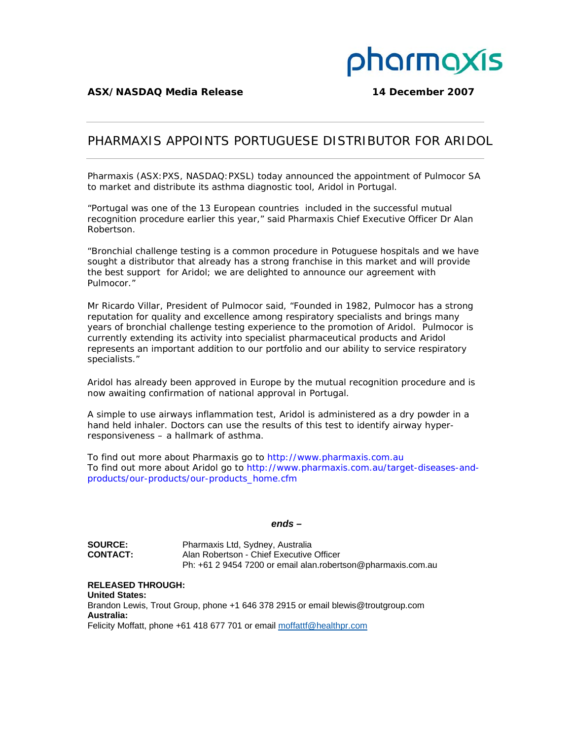

## PHARMAXIS APPOINTS PORTUGUESE DISTRIBUTOR FOR ARIDOL

Pharmaxis (ASX:PXS, NASDAQ:PXSL) today announced the appointment of Pulmocor SA to market and distribute its asthma diagnostic tool, Aridol in Portugal.

"Portugal was one of the 13 European countries included in the successful mutual recognition procedure earlier this year," said Pharmaxis Chief Executive Officer Dr Alan Robertson.

"Bronchial challenge testing is a common procedure in Potuguese hospitals and we have sought a distributor that already has a strong franchise in this market and will provide the best support for Aridol; we are delighted to announce our agreement with Pulmocor."

Mr Ricardo Villar, President of Pulmocor said, "Founded in 1982, Pulmocor has a strong reputation for quality and excellence among respiratory specialists and brings many years of bronchial challenge testing experience to the promotion of Aridol. Pulmocor is currently extending its activity into specialist pharmaceutical products and Aridol represents an important addition to our portfolio and our ability to service respiratory specialists."

Aridol has already been approved in Europe by the mutual recognition procedure and is now awaiting confirmation of national approval in Portugal.

A simple to use airways inflammation test, Aridol is administered as a dry powder in a hand held inhaler. Doctors can use the results of this test to identify airway hyperresponsiveness – a hallmark of asthma.

To find out more about Pharmaxis go to http://www.pharmaxis.com.au To find out more about Aridol go to http://www.pharmaxis.com.au/target-diseases-andproducts/our-products/our-products\_home.cfm

## *ends –*

**SOURCE:** Pharmaxis Ltd, Sydney, Australia **CONTACT:** Alan Robertson - Chief Executive Officer Ph: +61 2 9454 7200 or email alan.robertson@pharmaxis.com.au

**RELEASED THROUGH: United States:**  Brandon Lewis, Trout Group, phone +1 646 378 2915 or email blewis@troutgroup.com **Australia:**  Felicity Moffatt, phone +61 418 677 701 or email moffattf@healthpr.com